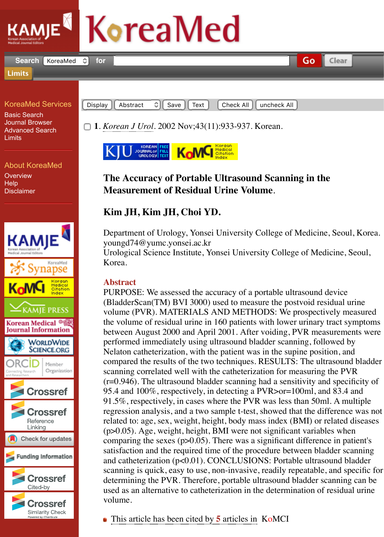## KoreaMed Services

Basic Search Journal Browser [Advanced Search](http://www.kamje.or.kr/) Limits

About KoreaMed **Overview Help** Disclaimer



Display || Abstract C|| Save || Text | Check All || uncheck All

□ 1. *Korean J Urol.* 2002 Nov;43(11):933-937. Korean.



## **The Accuracy of Portable Ultrasound Scanning in the Measurement of Residual Urine Volume**.

## **Kim JH, Kim JH, Choi YD.**

[Department of](https://www.koreamed.org/SearchBasic.php?QY=%22Korean+J+Urol%22+%5BJTI%5D&DisplaySearchResult=1) Urology, Yonsei University College of Medicine, S youngd74@yumc.yonsei.ac.kr

[Urological Science](http://urology.inforang.com/journal/viewJournal.html?year=2002&vol=43&page=933) [Institute, Yonsei U](http://www.komci.org/GSResult.php?RID=1020KJU%2F2002.43.11.933&DT=1)niversity College of Medicine, September 2014 Korea.

## **Abstract**

PURPOSE: We assessed the accuracy of a portable ultrasound dev (BladderScan(TM) BVI 3000) used to measure the postvoid residual volume (PVR). MATERIALS AND METHODS: We prospectively the volume of residual urine in 160 patients with lower urinary tractionbetween August 2000 and April 2001. After voiding, PVR measurements were performed immediately using ultrasound bladder scanning, follow Nelaton catheterization, with the patient was in the supine position compared the results of the two techniques. RESULTS: The ultrase scanning correlated well with the catheterization for measuring the  $(r=0.946)$ . The ultrasound bladder scanning had a sensitivity and s 95.4 and  $100\%$ , respectively, in detecting a PVR $>$ or=100ml, and 8 91.5%, respectively, in cases where the PVR was less than 50ml.  $\mu$ regression analysis, and a two sample t-test, showed that the difference was not apply to  $\mu$ related to: age, sex, weight, height, body mass index (BMI) or related to:  $(p>0.05)$ . Age, weight, height, BMI were not significant variables comparing the sexes ( $p > 0.05$ ). There was a significant difference in satisfaction and the required time of the procedure between bladder and catheterization  $(p<0.01)$ . CONCLUSIONS: Portable ultrasour scanning is quick, easy to use, non-invasive, readily repeatable, and specific for determining the PVR. Therefore, portable ultrasound bladder scan used as an alternative to catheterization in the determination of res volume.

This article has been cited by **5** articles in KoMCI